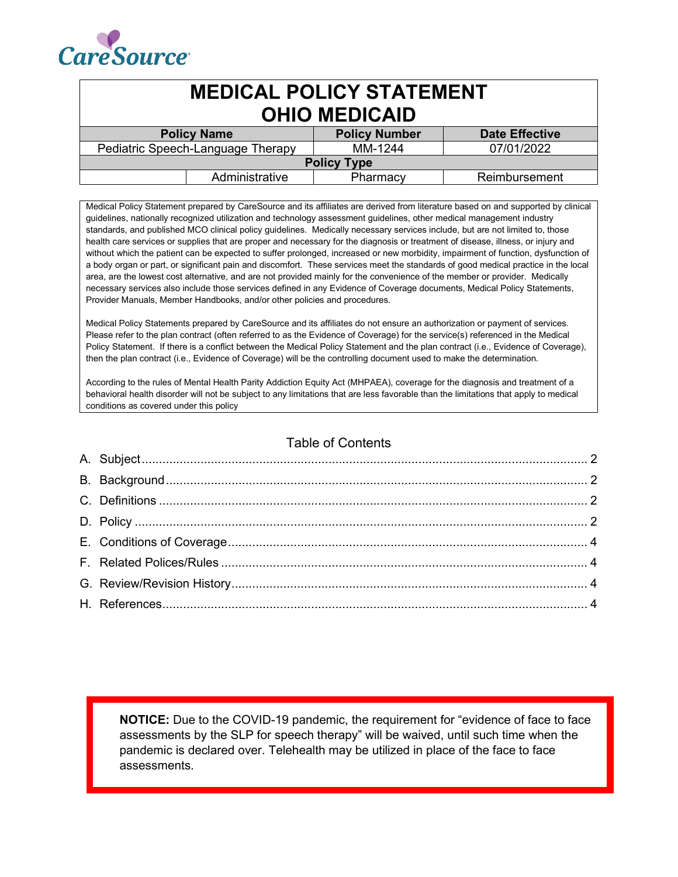

| <b>MEDICAL POLICY STATEMENT</b><br><b>OHIO MEDICAID</b> |                |                      |                       |  |
|---------------------------------------------------------|----------------|----------------------|-----------------------|--|
| <b>Policy Name</b>                                      |                | <b>Policy Number</b> | <b>Date Effective</b> |  |
| Pediatric Speech-Language Therapy                       |                | MM-1244              | 07/01/2022            |  |
| <b>Policy Type</b>                                      |                |                      |                       |  |
|                                                         | Administrative | Pharmacy             | Reimbursement         |  |

Medical Policy Statement prepared by CareSource and its affiliates are derived from literature based on and supported by clinical guidelines, nationally recognized utilization and technology assessment guidelines, other medical management industry standards, and published MCO clinical policy guidelines. Medically necessary services include, but are not limited to, those health care services or supplies that are proper and necessary for the diagnosis or treatment of disease, illness, or injury and without which the patient can be expected to suffer prolonged, increased or new morbidity, impairment of function, dysfunction of a body organ or part, or significant pain and discomfort. These services meet the standards of good medical practice in the local area, are the lowest cost alternative, and are not provided mainly for the convenience of the member or provider. Medically necessary services also include those services defined in any Evidence of Coverage documents, Medical Policy Statements, Provider Manuals, Member Handbooks, and/or other policies and procedures.

Medical Policy Statements prepared by CareSource and its affiliates do not ensure an authorization or payment of services. Please refer to the plan contract (often referred to as the Evidence of Coverage) for the service(s) referenced in the Medical Policy Statement. If there is a conflict between the Medical Policy Statement and the plan contract (i.e., Evidence of Coverage), then the plan contract (i.e., Evidence of Coverage) will be the controlling document used to make the determination.

According to the rules of Mental Health Parity Addiction Equity Act (MHPAEA), coverage for the diagnosis and treatment of a behavioral health disorder will not be subject to any limitations that are less favorable than the limitations that apply to medical conditions as covered under this policy

## Table of Contents

**NOTICE:** Due to the COVID-19 pandemic, the requirement for "evidence of face to face assessments by the SLP for speech therapy" will be waived, until such time when the pandemic is declared over. Telehealth may be utilized in place of the face to face assessments.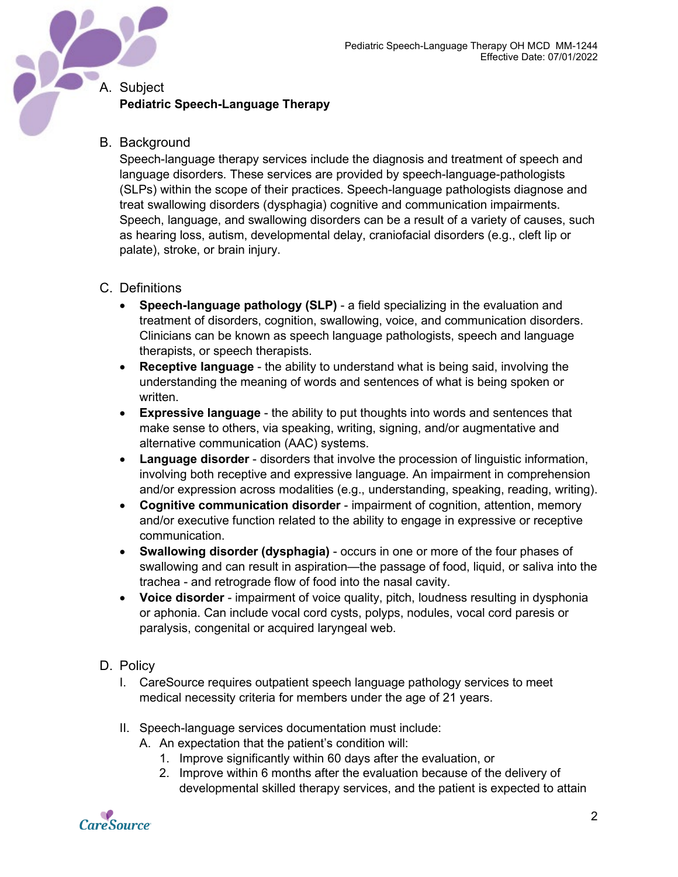# <span id="page-1-0"></span>A. Subject **Pediatric Speech-Language Therapy**

### <span id="page-1-1"></span>B. Background

Speech-language therapy services include the diagnosis and treatment of speech and language disorders. These services are provided by speech-language-pathologists (SLPs) within the scope of their practices. Speech-language pathologists diagnose and treat swallowing disorders (dysphagia) cognitive and communication impairments. Speech, language, and swallowing disorders can be a result of a variety of causes, such as hearing loss, autism, developmental delay, craniofacial disorders (e.g., cleft lip or palate), stroke, or brain injury.

### <span id="page-1-2"></span>C. Definitions

- **Speech-language pathology (SLP)** a field specializing in the evaluation and treatment of disorders, cognition, swallowing, voice, and communication disorders. Clinicians can be known as speech language pathologists, speech and language therapists, or speech therapists.
- **Receptive language**  the ability to understand what is being said, involving the understanding the meaning of words and sentences of what is being spoken or written.
- **Expressive language**  the ability to put thoughts into words and sentences that make sense to others, via speaking, writing, signing, and/or augmentative and alternative communication (AAC) systems.
- **Language disorder**  disorders that involve the procession of linguistic information, involving both receptive and expressive language. An impairment in comprehension and/or expression across modalities (e.g., understanding, speaking, reading, writing).
- **Cognitive communication disorder**  impairment of cognition, attention, memory and/or executive function related to the ability to engage in expressive or receptive communication.
- **Swallowing disorder (dysphagia)**  occurs in one or more of the four phases of swallowing and can result in aspiration—the passage of food, liquid, or saliva into the trachea - and retrograde flow of food into the nasal cavity.
- **Voice disorder**  impairment of voice quality, pitch, loudness resulting in dysphonia or aphonia. Can include vocal cord cysts, polyps, nodules, vocal cord paresis or paralysis, congenital or acquired laryngeal web.

#### <span id="page-1-3"></span>D. Policy

- I. CareSource requires outpatient speech language pathology services to meet medical necessity criteria for members under the age of 21 years.
- II. Speech-language services documentation must include:
	- A. An expectation that the patient's condition will:
		- 1. Improve significantly within 60 days after the evaluation, or
		- 2. Improve within 6 months after the evaluation because of the delivery of developmental skilled therapy services, and the patient is expected to attain

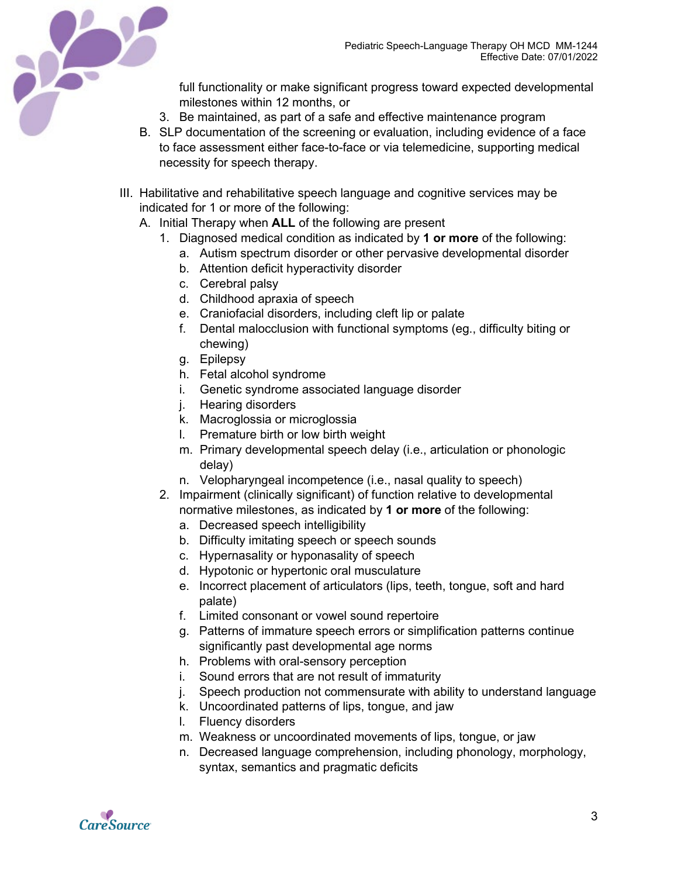

full functionality or make significant progress toward expected developmental milestones within 12 months, or

- 3. Be maintained, as part of a safe and effective maintenance program
- B. SLP documentation of the screening or evaluation, including evidence of a face to face assessment either face-to-face or via telemedicine, supporting medical necessity for speech therapy.
- III. Habilitative and rehabilitative speech language and cognitive services may be indicated for 1 or more of the following:
	- A. Initial Therapy when **ALL** of the following are present
		- 1. Diagnosed medical condition as indicated by **1 or more** of the following:
			- a. Autism spectrum disorder or other pervasive developmental disorder
			- b. Attention deficit hyperactivity disorder
			- c. Cerebral palsy
			- d. Childhood apraxia of speech
			- e. Craniofacial disorders, including cleft lip or palate
			- f. Dental malocclusion with functional symptoms (eg., difficulty biting or chewing)
			- g. Epilepsy
			- h. Fetal alcohol syndrome
			- i. Genetic syndrome associated language disorder
			- j. Hearing disorders
			- k. Macroglossia or microglossia
			- l. Premature birth or low birth weight
			- m. Primary developmental speech delay (i.e., articulation or phonologic delay)
			- n. Velopharyngeal incompetence (i.e., nasal quality to speech)
		- 2. Impairment (clinically significant) of function relative to developmental normative milestones, as indicated by **1 or more** of the following:
			- a. Decreased speech intelligibility
			- b. Difficulty imitating speech or speech sounds
			- c. Hypernasality or hyponasality of speech
			- d. Hypotonic or hypertonic oral musculature
			- e. Incorrect placement of articulators (lips, teeth, tongue, soft and hard palate)
			- f. Limited consonant or vowel sound repertoire
			- g. Patterns of immature speech errors or simplification patterns continue significantly past developmental age norms
			- h. Problems with oral-sensory perception
			- i. Sound errors that are not result of immaturity
			- j. Speech production not commensurate with ability to understand language
			- k. Uncoordinated patterns of lips, tongue, and jaw
			- l. Fluency disorders
			- m. Weakness or uncoordinated movements of lips, tongue, or jaw
			- n. Decreased language comprehension, including phonology, morphology, syntax, semantics and pragmatic deficits

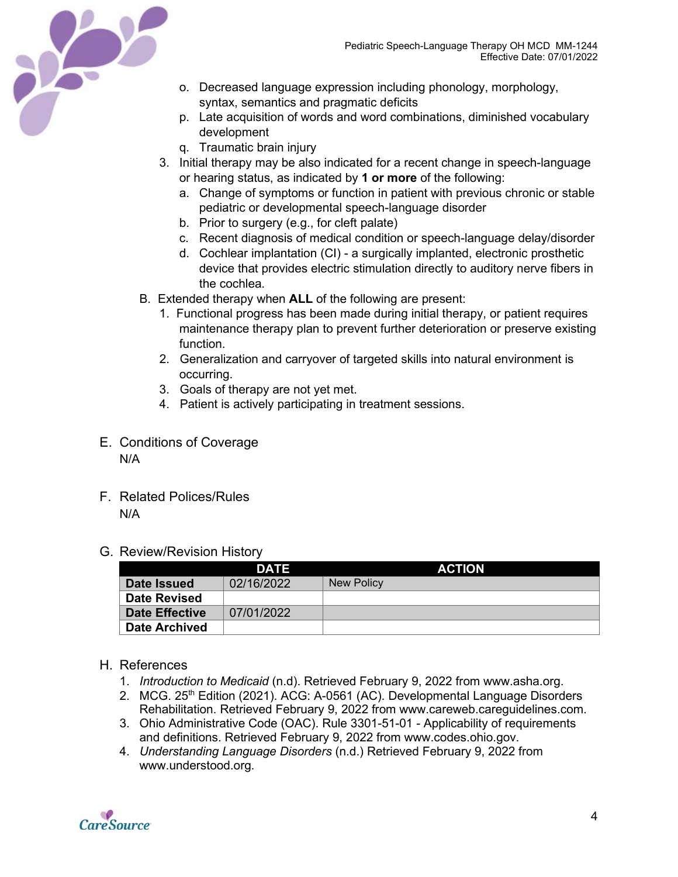

- o. Decreased language expression including phonology, morphology, syntax, semantics and pragmatic deficits
- p. Late acquisition of words and word combinations, diminished vocabulary development
- q. Traumatic brain injury
- 3. Initial therapy may be also indicated for a recent change in speech-language or hearing status, as indicated by **1 or more** of the following:
	- a. Change of symptoms or function in patient with previous chronic or stable pediatric or developmental speech-language disorder
	- b. Prior to surgery (e.g., for cleft palate)
	- c. Recent diagnosis of medical condition or speech-language delay/disorder
	- d. Cochlear implantation (CI) a surgically implanted, electronic prosthetic device that provides electric stimulation directly to auditory nerve fibers in the cochlea.
- B. Extended therapy when **ALL** of the following are present:
	- 1. Functional progress has been made during initial therapy, or patient requires maintenance therapy plan to prevent further deterioration or preserve existing function.
	- 2. Generalization and carryover of targeted skills into natural environment is occurring.
	- 3. Goals of therapy are not yet met.
	- 4. Patient is actively participating in treatment sessions.
- <span id="page-3-0"></span>E. Conditions of Coverage N/A
- <span id="page-3-1"></span>F. Related Polices/Rules N/A
- <span id="page-3-2"></span>G. Review/Revision History

|                       | DATE       | <b>ACTION</b> |
|-----------------------|------------|---------------|
| Date Issued           | 02/16/2022 | New Policy    |
| <b>Date Revised</b>   |            |               |
| <b>Date Effective</b> | 07/01/2022 |               |
| <b>Date Archived</b>  |            |               |

#### <span id="page-3-3"></span>H. References

- 1. *Introduction to Medicaid* (n.d). Retrieved February 9, 2022 from www.asha.org.
- 2. MCG. 25<sup>th</sup> Edition (2021). ACG: A-0561 (AC). Developmental Language Disorders Rehabilitation. Retrieved February 9, 2022 from www.careweb.careguidelines.com.
- 3. Ohio Administrative Code (OAC). Rule 3301-51-01 Applicability of requirements and definitions. Retrieved February 9, 2022 from www.codes.ohio.gov.
- 4. *Understanding Language Disorders* (n.d.) Retrieved February 9, 2022 from www.understood.org.